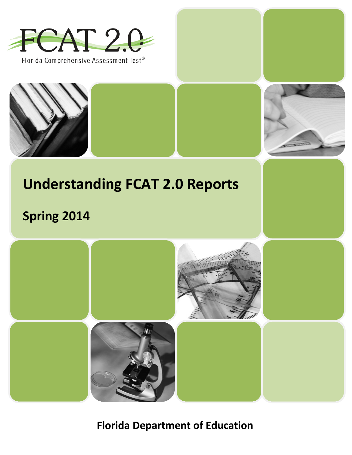

Florida Comprehensive Assessment Test®





# **Understanding FCAT 2.0 Reports**

# **Spring 2014**



**Florida Department of Education**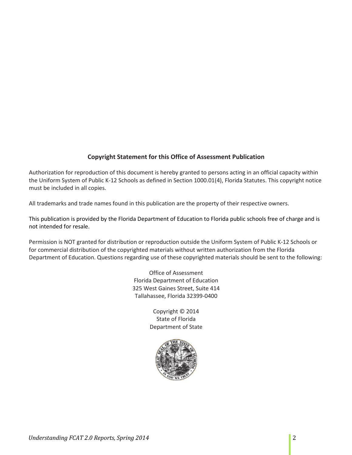## **Copyright Statement for this Office of Assessment Publication**

Authorization for reproduction of this document is hereby granted to persons acting in an official capacity within the Uniform System of Public K-12 Schools as defined in Section 1000.01(4), Florida Statutes. This copyright notice must be included in all copies.

All trademarks and trade names found in this publication are the property of their respective owners.

This publication is provided by the Florida Department of Education to Florida public schools free of charge and is not intended for resale.

Permission is NOT granted for distribution or reproduction outside the Uniform System of Public K-12 Schools or for commercial distribution of the copyrighted materials without written authorization from the Florida Department of Education. Questions regarding use of these copyrighted materials should be sent to the following:

> Office of Assessment Florida Department of Education 325 West Gaines Street, Suite 414 Tallahassee, Florida 32399-0400

> > Copyright © 2014 State of Florida Department of State

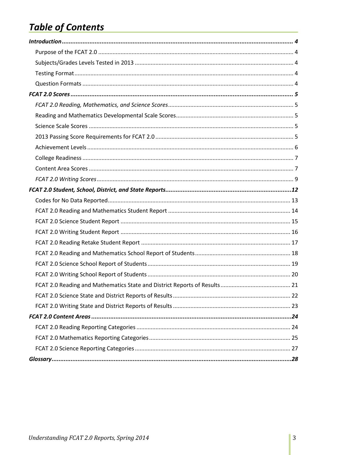## **Table of Contents**

<span id="page-2-0"></span>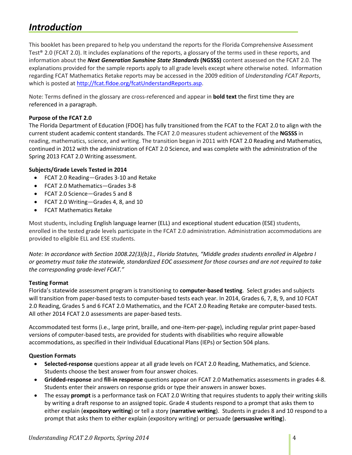## *Introduction*

This booklet has been prepared to help you understand the reports for the Florida Comprehensive Assessment Test® 2.0 (FCAT 2.0). It includes explanations of the reports, a glossary of the terms used in these reports, and information about the *Next Generation Sunshine State Standards* **(NGSSS)** content assessed on the FCAT 2.0. The explanations provided for the sample reports apply to all grade levels except where otherwise noted. Information regarding FCAT Mathematics Retake reports may be accessed in the 2009 edition of *Understanding FCAT Reports*, which is posted a[t http://fcat.fldoe.org/fcatUnderstandReports.asp.](http://fcat.fldoe.org/fcatUnderstandReports.asp)

Note: Terms defined in the glossary are cross-referenced and appear in **bold text** the first time they are referenced in a paragraph.

## <span id="page-3-0"></span>**Purpose of the FCAT 2.0**

The Florida Department of Education (FDOE) has fully transitioned from the FCAT to the FCAT 2.0 to align with the current student academic content standards. The FCAT 2.0 measures student achievement of the **NGSSS** in reading, mathematics, science, and writing. The transition began in 2011 with FCAT 2.0 Reading and Mathematics, continued in 2012 with the administration of FCAT 2.0 Science, and was complete with the administration of the Spring 2013 FCAT 2.0 Writing assessment.

## <span id="page-3-1"></span>**Subjects/Grade Levels Tested in 2014**

- FCAT 2.0 Reading—Grades 3-10 and Retake
- FCAT 2.0 Mathematics—Grades 3-8
- FCAT 2.0 Science—Grades 5 and 8
- FCAT 2.0 Writing—Grades 4, 8, and 10
- FCAT Mathematics Retake

Most students, including English language learner (ELL) and exceptional student education (ESE) students, enrolled in the tested grade levels participate in the FCAT 2.0 administration. Administration accommodations are provided to eligible ELL and ESE students.

*Note: In accordance with Section 1008.22(3)(b)1., Florida Statutes, "Middle grades students enrolled in Algebra I or geometry must take the statewide, standardized EOC assessment for those courses and are not required to take the corresponding grade-level FCAT."*

## <span id="page-3-2"></span>**Testing Format**

Florida's statewide assessment program is transitioning to **computer-based testing**. Select grades and subjects will transition from paper-based tests to computer-based tests each year. In 2014, Grades 6, 7, 8, 9, and 10 FCAT 2.0 Reading, Grades 5 and 6 FCAT 2.0 Mathematics, and the FCAT 2.0 Reading Retake are computer-based tests. All other 2014 FCAT 2.0 assessments are paper-based tests.

Accommodated test forms (i.e., large print, braille, and one-item-per-page), including regular print paper-based versions of computer-based tests, are provided for students with disabilities who require allowable accommodations, as specified in their Individual Educational Plans (IEPs) or Section 504 plans.

## <span id="page-3-3"></span>**Question Formats**

- **Selected-response** questions appear at all grade levels on FCAT 2.0 Reading, Mathematics, and Science. Students choose the best answer from four answer choices.
- **Gridded-response** and **fill-in response** questions appear on FCAT 2.0 Mathematics assessments in grades 4-8. Students enter their answers on response grids or type their answers in answer boxes.
- The essay **prompt** is a performance task on FCAT 2.0 Writing that requires students to apply their writing skills by writing a draft response to an assigned topic. Grade 4 students respond to a prompt that asks them to either explain (**expository writing**) or tell a story (**narrative writing**). Students in grades 8 and 10 respond to a prompt that asks them to either explain (expository writing) or persuade (**persuasive writing**).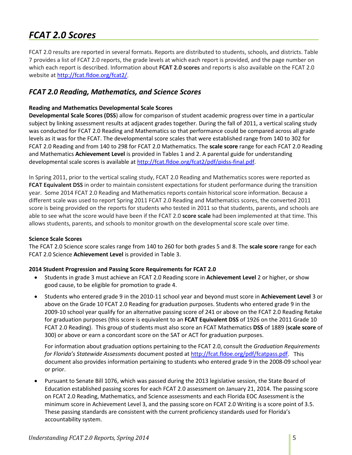## <span id="page-4-0"></span>*FCAT 2.0 Scores*

FCAT 2.0 results are reported in several formats. Reports are distributed to students, schools, and districts. Table 7 provides a list of FCAT 2.0 reports, the grade levels at which each report is provided, and the page number on which each report is described. Information about **FCAT 2.0 scores** and reports is also available on the FCAT 2.0 website a[t http://fcat.fldoe.org/fcat2/.](http://fcat.fldoe.org/fcat2/)

## <span id="page-4-1"></span>*FCAT 2.0 Reading, Mathematics, and Science Scores*

## <span id="page-4-2"></span>**Reading and Mathematics Developmental Scale Scores**

**Developmental Scale Scores (DSS**) allow for comparison of student academic progress over time in a particular subject by linking assessment results at adjacent grades together. During the fall of 2011, a vertical scaling study was conducted for FCAT 2.0 Reading and Mathematics so that performance could be compared across all grade levels as it was for the FCAT. The developmental score scales that were established range from 140 to 302 for FCAT 2.0 Reading and from 140 to 298 for FCAT 2.0 Mathematics. The **scale score** range for each FCAT 2.0 Reading and Mathematics **Achievement Level** is provided in Tables 1 and 2. A parental guide for understanding developmental scale scores is available a[t http://fcat.fldoe.org/fcat2/pdf/pidss-final.pdf.](http://fcat.fldoe.org/fcat2/pdf/pidss-final.pdf)

In Spring 2011, prior to the vertical scaling study, FCAT 2.0 Reading and Mathematics scores were reported as **FCAT Equivalent DSS** in order to maintain consistent expectations for student performance during the transition year. Some 2014 FCAT 2.0 Reading and Mathematics reports contain historical score information. Because a different scale was used to report Spring 2011 FCAT 2.0 Reading and Mathematics scores, the converted 2011 score is being provided on the reports for students who tested in 2011 so that students, parents, and schools are able to see what the score would have been if the FCAT 2.0 **score scale** had been implemented at that time. This allows students, parents, and schools to monitor growth on the developmental score scale over time.

#### <span id="page-4-3"></span>**Science Scale Scores**

The FCAT 2.0 Science score scales range from 140 to 260 for both grades 5 and 8. The **scale score** range for each FCAT 2.0 Science **Achievement Level** is provided in Table 3.

## <span id="page-4-4"></span>**2014 Student Progression and Passing Score Requirements for FCAT 2.0**

- Students in grade 3 must achieve an FCAT 2.0 Reading score in **Achievement Level** 2 or higher, or show good cause, to be eligible for promotion to grade 4.
- Students who entered grade 9 in the 2010-11 school year and beyond must score in **Achievement Level** 3 or above on the Grade 10 FCAT 2.0 Reading for graduation purposes. Students who entered grade 9 in the 2009-10 school year qualify for an alternative passing score of 241 or above on the FCAT 2.0 Reading Retake for graduation purposes (this score is equivalent to an **FCAT Equivalent DSS** of 1926 on the 2011 Grade 10 FCAT 2.0 Reading). This group of students must also score an FCAT Mathematics **DSS** of 1889 (**scale score** of 300) or above or earn a concordant score on the SAT or ACT for graduation purposes.

For information about graduation options pertaining to the FCAT 2.0, consult the *Graduation Requirements for Florida's Statewide Assessments* document posted at [http://fcat.fldoe.org/pdf/fcatpass.pdf.](http://fcat.fldoe.org/pdf/fcatpass.pdf) This document also provides information pertaining to students who entered grade 9 in the 2008-09 school year or prior.

• Pursuant to Senate Bill 1076, which was passed during the 2013 legislative session, the State Board of Education established passing scores for each FCAT 2.0 assessment on January 21, 2014. The passing score on FCAT 2.0 Reading, Mathematics, and Science assessments and each Florida EOC Assessment is the minimum score in Achievement Level 3, and the passing score on FCAT 2.0 Writing is a score point of 3.5. These passing standards are consistent with the current proficiency standards used for Florida's accountability system.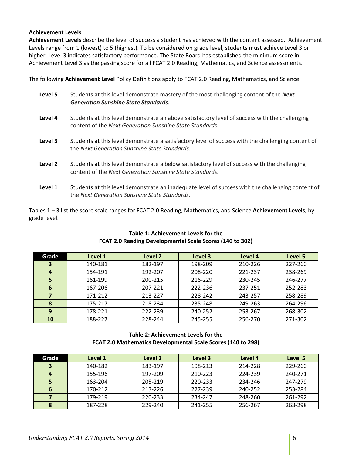#### <span id="page-5-0"></span>**Achievement Levels**

**Achievement Levels** describe the level of success a student has achieved with the content assessed. Achievement Levels range from 1 (lowest) to 5 (highest). To be considered on grade level, students must achieve Level 3 or higher. Level 3 indicates satisfactory performance. The State Board has established the minimum score in Achievement Level 3 as the passing score for all FCAT 2.0 Reading, Mathematics, and Science assessments.

The following **Achievement Level** Policy Definitions apply to FCAT 2.0 Reading, Mathematics, and Science:

| Level 5 | Students at this level demonstrate mastery of the most challenging content of the Next<br><b>Generation Sunshine State Standards.</b>                      |
|---------|------------------------------------------------------------------------------------------------------------------------------------------------------------|
| Level 4 | Students at this level demonstrate an above satisfactory level of success with the challenging<br>content of the Next Generation Sunshine State Standards. |
| Level 3 | Students at this level demonstrate a satisfactory level of success with the challenging content of<br>the Next Generation Sunshine State Standards.        |
| Level 2 | Students at this level demonstrate a below satisfactory level of success with the challenging<br>content of the Next Generation Sunshine State Standards.  |
| Level 1 | Students at this level demonstrate an inadequate level of success with the challenging content of<br>the Next Generation Sunshine State Standards.         |

Tables 1 – 3 list the score scale ranges for FCAT 2.0 Reading, Mathematics, and Science **Achievement Levels**, by grade level.

| Grade            | Level 1 | Level 2 | Level 3 | Level 4 | Level 5 |
|------------------|---------|---------|---------|---------|---------|
| 3                | 140-181 | 182-197 | 198-209 | 210-226 | 227-260 |
| $\boldsymbol{4}$ | 154-191 | 192-207 | 208-220 | 221-237 | 238-269 |
| 5                | 161-199 | 200-215 | 216-229 | 230-245 | 246-277 |
| 6                | 167-206 | 207-221 | 222-236 | 237-251 | 252-283 |
| 7                | 171-212 | 213-227 | 228-242 | 243-257 | 258-289 |
| 8                | 175-217 | 218-234 | 235-248 | 249-263 | 264-296 |
| 9                | 178-221 | 222-239 | 240-252 | 253-267 | 268-302 |
| 10               | 188-227 | 228-244 | 245-255 | 256-270 | 271-302 |

## **Table 1: Achievement Levels for the FCAT 2.0 Reading Developmental Scale Scores (140 to 302)**

## **Table 2: Achievement Levels for the FCAT 2.0 Mathematics Developmental Scale Scores (140 to 298)**

| Grade | Level 1 | Level 2 | Level 3 | Level 4 | Level 5 |
|-------|---------|---------|---------|---------|---------|
| 3     | 140-182 | 183-197 | 198-213 | 214-228 | 229-260 |
| 4     | 155-196 | 197-209 | 210-223 | 224-239 | 240-271 |
| 5     | 163-204 | 205-219 | 220-233 | 234-246 | 247-279 |
| 6     | 170-212 | 213-226 | 227-239 | 240-252 | 253-284 |
|       | 179-219 | 220-233 | 234-247 | 248-260 | 261-292 |
| 8     | 187-228 | 229-240 | 241-255 | 256-267 | 268-298 |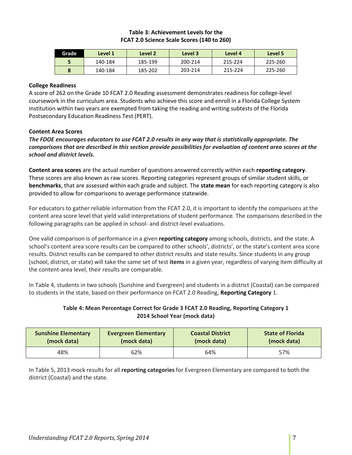#### **Table 3: Achievement Levels for the FCAT 2.0 Science Scale Scores (140 to 260)**

| Grade     | Level 1 | Level 2 | Level 3 | Level 4 | Level 5 |
|-----------|---------|---------|---------|---------|---------|
|           | 140-184 | 185-199 | 200-214 | 215-224 | 225-260 |
| $\bullet$ | 140-184 | 185-202 | 203-214 | 215-224 | 225-260 |

#### <span id="page-6-0"></span>**College Readiness**

A score of 262 on the Grade 10 FCAT 2.0 Reading assessment demonstrates readiness for college-level coursework in the curriculum area. Students who achieve this score and enroll in a Florida College System institution within two years are exempted from taking the reading and writing subtests of the Florida Postsecondary Education Readiness Test (PERT).

#### <span id="page-6-1"></span>**Content Area Scores**

*The FDOE encourages educators to use FCAT 2.0 results in any way that is statistically appropriate. The comparisons that are described in this section provide possibilities for evaluation of content area scores at the school and district levels.*

**Content area scores** are the actual number of questions answered correctly within each **reporting category**. These scores are also known as raw scores. Reporting categories represent groups of similar student skills, or **benchmarks**, that are assessed within each grade and subject. The **state mean** for each reporting category is also provided to allow for comparisons to average performance statewide.

For educators to gather reliable information from the FCAT 2.0, it is important to identify the comparisons at the content area score level that yield valid interpretations of student performance. The comparisons described in the following paragraphs can be applied in school- and district-level evaluations.

One valid comparison is of performance in a given **reporting category** among schools, districts, and the state. A school's content area score results can be compared to other schools', districts', or the state's content area score results. District results can be compared to other district results and state results. Since students in any group (school, district, or state) will take the same set of test **items** in a given year, regardless of varying item difficulty at the content-area level, their results are comparable.

In Table 4, students in two schools (Sunshine and Evergreen) and students in a district (Coastal) can be compared to students in the state, based on their performance on FCAT 2.0 Reading, **Reporting Category** 1.

## **Table 4: Mean Percentage Correct for Grade 3 FCAT 2.0 Reading, Reporting Category 1 2014 School Year (mock data)**

| <b>Sunshine Elementary</b> | <b>Evergreen Elementary</b> | <b>Coastal District</b> | <b>State of Florida</b> |
|----------------------------|-----------------------------|-------------------------|-------------------------|
| (mock data)                | (mock data)                 | (mock data)             | (mock data)             |
| 48%                        | 62%                         | 64%                     | 57%                     |

In Table 5, 2013 mock results for all **reporting categories** for Evergreen Elementary are compared to both the district (Coastal) and the state.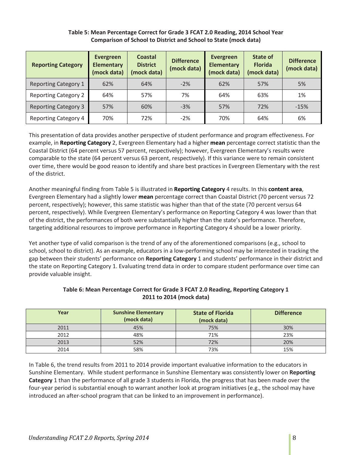## **Table 5: Mean Percentage Correct for Grade 3 FCAT 2.0 Reading, 2014 School Year Comparison of School to District and School to State (mock data)**

| <b>Reporting Category</b>   | Evergreen<br><b>Elementary</b><br>(mock data) | Coastal<br><b>District</b><br>(mock data) | <b>Difference</b><br>(mock data) | Evergreen<br><b>Elementary</b><br>(mock data) | State of<br><b>Florida</b><br>(mock data) | <b>Difference</b><br>(mock data) |
|-----------------------------|-----------------------------------------------|-------------------------------------------|----------------------------------|-----------------------------------------------|-------------------------------------------|----------------------------------|
| <b>Reporting Category 1</b> | 62%                                           | 64%                                       | $-2%$                            | 62%                                           | 57%                                       | 5%                               |
| <b>Reporting Category 2</b> | 64%                                           | 57%                                       | 7%                               | 64%                                           | 63%                                       | 1%                               |
| <b>Reporting Category 3</b> | 57%                                           | 60%                                       | $-3%$                            | 57%                                           | 72%                                       | $-15%$                           |
| <b>Reporting Category 4</b> | 70%                                           | 72%                                       | $-2%$                            | 70%                                           | 64%                                       | 6%                               |

This presentation of data provides another perspective of student performance and program effectiveness. For example, in **Reporting Category** 2, Evergreen Elementary had a higher **mean** percentage correct statistic than the Coastal District (64 percent versus 57 percent, respectively); however, Evergreen Elementary's results were comparable to the state (64 percent versus 63 percent, respectively). If this variance were to remain consistent over time, there would be good reason to identify and share best practices in Evergreen Elementary with the rest of the district.

Another meaningful finding from Table 5 is illustrated in **Reporting Category** 4 results. In this **content area**, Evergreen Elementary had a slightly lower **mean** percentage correct than Coastal District (70 percent versus 72 percent, respectively); however, this same statistic was higher than that of the state (70 percent versus 64 percent, respectively). While Evergreen Elementary's performance on Reporting Category 4 was lower than that of the district, the performances of both were substantially higher than the state's performance. Therefore, targeting additional resources to improve performance in Reporting Category 4 should be a lower priority.

Yet another type of valid comparison is the trend of any of the aforementioned comparisons (e.g., school to school, school to district). As an example, educators in a low-performing school may be interested in tracking the gap between their students' performance on **Reporting Category** 1 and students' performance in their district and the state on Reporting Category 1. Evaluating trend data in order to compare student performance over time can provide valuable insight.

| Year | <b>Sunshine Elementary</b><br>(mock data) | <b>State of Florida</b><br>(mock data) | <b>Difference</b> |
|------|-------------------------------------------|----------------------------------------|-------------------|
| 2011 | 45%                                       | 75%                                    | 30%               |
| 2012 | 48%                                       | 71%                                    | 23%               |
| 2013 | 52%                                       | 72%                                    | 20%               |
| 2014 | 58%                                       | 73%                                    | 15%               |

## **Table 6: Mean Percentage Correct for Grade 3 FCAT 2.0 Reading, Reporting Category 1 2011 to 2014 (mock data)**

In Table 6, the trend results from 2011 to 2014 provide important evaluative information to the educators in Sunshine Elementary. While student performance in Sunshine Elementary was consistently lower on **Reporting Category** 1 than the performance of all grade 3 students in Florida, the progress that has been made over the four-year period is substantial enough to warrant another look at program initiatives (e.g., the school may have introduced an after-school program that can be linked to an improvement in performance).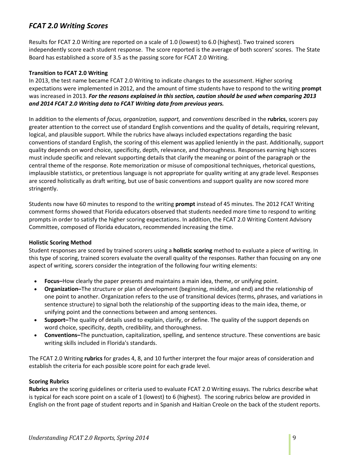## <span id="page-8-0"></span>*FCAT 2.0 Writing Scores*

Results for FCAT 2.0 Writing are reported on a scale of 1.0 (lowest) to 6.0 (highest). Two trained scorers independently score each student response. The score reported is the average of both scorers' scores. The State Board has established a score of 3.5 as the passing score for FCAT 2.0 Writing.

## **Transition to FCAT 2.0 Writing**

In 2013, the test name became FCAT 2.0 Writing to indicate changes to the assessment. Higher scoring expectations were implemented in 2012, and the amount of time students have to respond to the writing **prompt** was increased in 2013. *For the reasons explained in this section, caution should be used when comparing 2013 and 2014 FCAT 2.0 Writing data to FCAT Writing data from previous years.* 

In addition to the elements of *focus, organization, support,* and *conventions* described in the **rubrics**, scorers pay greater attention to the correct use of standard English conventions and the quality of details, requiring relevant, logical, and plausible support. While the rubrics have always included expectations regarding the basic conventions of standard English, the scoring of this element was applied leniently in the past. Additionally, support quality depends on word choice, specificity, depth, relevance, and thoroughness. Responses earning high scores must include specific and relevant supporting details that clarify the meaning or point of the paragraph or the central theme of the response. Rote memorization or misuse of compositional techniques, rhetorical questions, implausible statistics, or pretentious language is not appropriate for quality writing at any grade level. Responses are scored holistically as draft writing, but use of basic conventions and support quality are now scored more stringently.

Students now have 60 minutes to respond to the writing **prompt** instead of 45 minutes. The 2012 FCAT Writing comment forms showed that Florida educators observed that students needed more time to respond to writing prompts in order to satisfy the higher scoring expectations. In addition, the FCAT 2.0 Writing Content Advisory Committee, composed of Florida educators, recommended increasing the time.

#### **Holistic Scoring Method**

Student responses are scored by trained scorers using a **holistic scoring** method to evaluate a piece of writing. In this type of scoring, trained scorers evaluate the overall quality of the responses. Rather than focusing on any one aspect of writing, scorers consider the integration of the following four writing elements:

- **Focus–**How clearly the paper presents and maintains a main idea, theme, or unifying point.
- **Organization–**The structure or plan of development (beginning, middle, and end) and the relationship of one point to another. Organization refers to the use of transitional devices (terms, phrases, and variations in sentence structure) to signal both the relationship of the supporting ideas to the main idea, theme, or unifying point and the connections between and among sentences.
- **Support–**The quality of details used to explain, clarify, or define. The quality of the support depends on word choice, specificity, depth, credibility, and thoroughness.
- **Conventions–**The punctuation, capitalization, spelling, and sentence structure. These conventions are basic writing skills included in Florida's standards.

The FCAT 2.0 Writing **rubrics** for grades 4, 8, and 10 further interpret the four major areas of consideration and establish the criteria for each possible score point for each grade level.

#### **Scoring Rubrics**

**Rubrics** are the scoring guidelines or criteria used to evaluate FCAT 2.0 Writing essays. The rubrics describe what is typical for each score point on a scale of 1 (lowest) to 6 (highest). The scoring rubrics below are provided in English on the front page of student reports and in Spanish and Haitian Creole on the back of the student reports.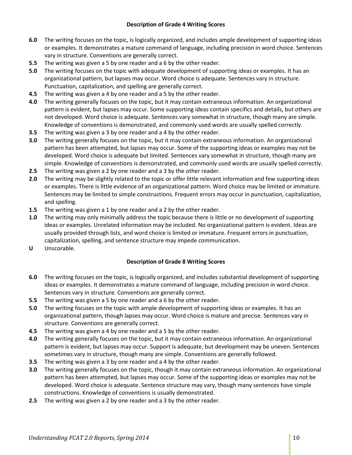#### **Description of Grade 4 Writing Scores**

- **6.0** The writing focuses on the topic, is logically organized, and includes ample development of supporting ideas or examples. It demonstrates a mature command of language, including precision in word choice. Sentences vary in structure. Conventions are generally correct.
- **5.5** The writing was given a 5 by one reader and a 6 by the other reader.
- **5.0** The writing focuses on the topic with adequate development of supporting ideas or examples. It has an organizational pattern, but lapses may occur. Word choice is adequate. Sentences vary in structure. Punctuation, capitalization, and spelling are generally correct.
- **4.5** The writing was given a 4 by one reader and a 5 by the other reader.
- **4.0** The writing generally focuses on the topic, but it may contain extraneous information. An organizational pattern is evident, but lapses may occur. Some supporting ideas contain specifics and details, but others are not developed. Word choice is adequate. Sentences vary somewhat in structure, though many are simple. Knowledge of conventions is demonstrated, and commonly used words are usually spelled correctly.
- **3.5** The writing was given a 3 by one reader and a 4 by the other reader.
- **3.0** The writing generally focuses on the topic, but it may contain extraneous information. An organizational pattern has been attempted, but lapses may occur. Some of the supporting ideas or examples may not be developed. Word choice is adequate but limited. Sentences vary somewhat in structure, though many are simple. Knowledge of conventions is demonstrated, and commonly used words are usually spelled correctly.
- **2.5** The writing was given a 2 by one reader and a 3 by the other reader.
- **2.0** The writing may be slightly related to the topic or offer little relevant information and few supporting ideas or examples. There is little evidence of an organizational pattern. Word choice may be limited or immature. Sentences may be limited to simple constructions. Frequent errors may occur in punctuation, capitalization, and spelling.
- **1.5** The writing was given a 1 by one reader and a 2 by the other reader.
- **1.0** The writing may only minimally address the topic because there is little or no development of supporting ideas or examples. Unrelated information may be included. No organizational pattern is evident. Ideas are usually provided through lists, and word choice is limited or immature. Frequent errors in punctuation, capitalization, spelling, and sentence structure may impede communication.
- **U** Unscorable.

## **Description of Grade 8 Writing Scores**

- **6.0** The writing focuses on the topic, is logically organized, and includes substantial development of supporting ideas or examples. It demonstrates a mature command of language, including precision in word choice. Sentences vary in structure. Conventions are generally correct.
- **5.5** The writing was given a 5 by one reader and a 6 by the other reader.
- **5.0** The writing focuses on the topic with ample development of supporting ideas or examples. It has an organizational pattern, though lapses may occur. Word choice is mature and precise. Sentences vary in structure. Conventions are generally correct.
- **4.5** The writing was given a 4 by one reader and a 5 by the other reader.
- **4.0** The writing generally focuses on the topic, but it may contain extraneous information. An organizational pattern is evident, but lapses may occur. Support is adequate, but development may be uneven. Sentences sometimes vary in structure, though many are simple. Conventions are generally followed.
- **3.5** The writing was given a 3 by one reader and a 4 by the other reader.
- **3.0** The writing generally focuses on the topic, though it may contain extraneous information. An organizational pattern has been attempted, but lapses may occur. Some of the supporting ideas or examples may not be developed. Word choice is adequate. Sentence structure may vary, though many sentences have simple constructions. Knowledge of conventions is usually demonstrated.
- **2.5** The writing was given a 2 by one reader and a 3 by the other reader.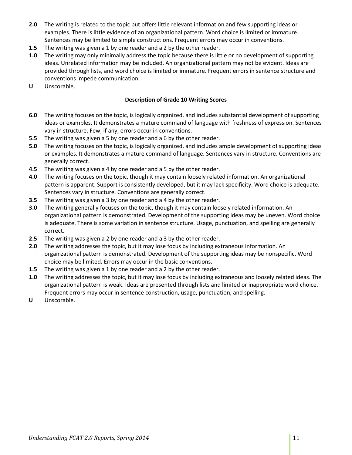- **2.0** The writing is related to the topic but offers little relevant information and few supporting ideas or examples. There is little evidence of an organizational pattern. Word choice is limited or immature. Sentences may be limited to simple constructions. Frequent errors may occur in conventions.
- **1.5** The writing was given a 1 by one reader and a 2 by the other reader.
- **1.0** The writing may only minimally address the topic because there is little or no development of supporting ideas. Unrelated information may be included. An organizational pattern may not be evident. Ideas are provided through lists, and word choice is limited or immature. Frequent errors in sentence structure and conventions impede communication.
- **U** Unscorable.

## **Description of Grade 10 Writing Scores**

- **6.0** The writing focuses on the topic, is logically organized, and includes substantial development of supporting ideas or examples. It demonstrates a mature command of language with freshness of expression. Sentences vary in structure. Few, if any, errors occur in conventions.
- **5.5** The writing was given a 5 by one reader and a 6 by the other reader.
- **5.0** The writing focuses on the topic, is logically organized, and includes ample development of supporting ideas or examples. It demonstrates a mature command of language. Sentences vary in structure. Conventions are generally correct.
- **4.5** The writing was given a 4 by one reader and a 5 by the other reader.
- **4.0** The writing focuses on the topic, though it may contain loosely related information. An organizational pattern is apparent. Support is consistently developed, but it may lack specificity. Word choice is adequate. Sentences vary in structure. Conventions are generally correct.
- **3.5** The writing was given a 3 by one reader and a 4 by the other reader.
- **3.0** The writing generally focuses on the topic, though it may contain loosely related information. An organizational pattern is demonstrated. Development of the supporting ideas may be uneven. Word choice is adequate. There is some variation in sentence structure. Usage, punctuation, and spelling are generally correct.
- **2.5** The writing was given a 2 by one reader and a 3 by the other reader.
- **2.0** The writing addresses the topic, but it may lose focus by including extraneous information. An organizational pattern is demonstrated. Development of the supporting ideas may be nonspecific. Word choice may be limited. Errors may occur in the basic conventions.
- **1.5** The writing was given a 1 by one reader and a 2 by the other reader.
- **1.0** The writing addresses the topic, but it may lose focus by including extraneous and loosely related ideas. The organizational pattern is weak. Ideas are presented through lists and limited or inappropriate word choice. Frequent errors may occur in sentence construction, usage, punctuation, and spelling.
- **U** Unscorable.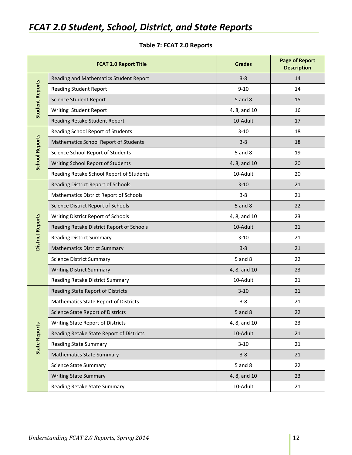## <span id="page-11-0"></span>*FCAT 2.0 Student, School, District, and State Reports*

|                         | <b>FCAT 2.0 Report Title</b>                 | <b>Grades</b> | <b>Page of Report</b><br><b>Description</b> |
|-------------------------|----------------------------------------------|---------------|---------------------------------------------|
|                         | Reading and Mathematics Student Report       | $3 - 8$       | 14                                          |
|                         | <b>Reading Student Report</b>                | $9 - 10$      | 14                                          |
|                         | <b>Science Student Report</b>                | 5 and 8       | 15                                          |
| <b>Student Reports</b>  | Writing Student Report                       | 4, 8, and 10  | 16                                          |
|                         | Reading Retake Student Report                | 10-Adult      | 17                                          |
|                         | Reading School Report of Students            | $3 - 10$      | 18                                          |
| <b>School Reports</b>   | Mathematics School Report of Students        | $3 - 8$       | 18                                          |
|                         | Science School Report of Students            | $5$ and $8$   | 19                                          |
|                         | Writing School Report of Students            | 4, 8, and 10  | 20                                          |
|                         | Reading Retake School Report of Students     | 10-Adult      | 20                                          |
|                         | Reading District Report of Schools           | $3 - 10$      | 21                                          |
|                         | Mathematics District Report of Schools       | $3 - 8$       | 21                                          |
|                         | Science District Report of Schools           | $5$ and $8$   | 22                                          |
|                         | Writing District Report of Schools           | 4, 8, and 10  | 23                                          |
| <b>District Reports</b> | Reading Retake District Report of Schools    | 10-Adult      | 21                                          |
|                         | <b>Reading District Summary</b>              | $3 - 10$      | 21                                          |
|                         | <b>Mathematics District Summary</b>          | $3 - 8$       | 21                                          |
|                         | <b>Science District Summary</b>              | $5$ and $8$   | 22                                          |
|                         | <b>Writing District Summary</b>              | 4, 8, and 10  | 23                                          |
|                         | Reading Retake District Summary              | 10-Adult      | 21                                          |
|                         | Reading State Report of Districts            | $3 - 10$      | 21                                          |
|                         | <b>Mathematics State Report of Districts</b> | $3 - 8$       | 21                                          |
|                         | <b>Science State Report of Districts</b>     | 5 and 8       | 22                                          |
|                         | Writing State Report of Districts            | 4, 8, and 10  | 23                                          |
|                         | Reading Retake State Report of Districts     | 10-Adult      | 21                                          |
| <b>State Reports</b>    | <b>Reading State Summary</b>                 | $3 - 10$      | 21                                          |
|                         | <b>Mathematics State Summary</b>             | $3 - 8$       | 21                                          |
|                         | <b>Science State Summary</b>                 | 5 and 8       | 22                                          |
|                         | <b>Writing State Summary</b>                 | 4, 8, and 10  | 23                                          |
|                         | Reading Retake State Summary                 | 10-Adult      | 21                                          |

## **Table 7: FCAT 2.0 Reports**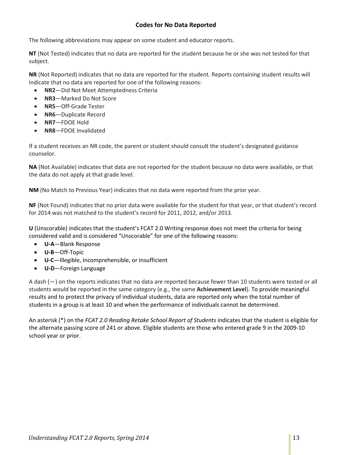## **Codes for No Data Reported**

<span id="page-12-0"></span>The following abbreviations may appear on some student and educator reports.

**NT** (Not Tested) indicates that no data are reported for the student because he or she was not tested for that subject.

**NR** (Not Reported) indicates that no data are reported for the student. Reports containing student results will indicate that no data are reported for one of the following reasons:

- **NR2**—Did Not Meet Attemptedness Criteria
- **NR3**—Marked Do Not Score
- **NR5**—Off-Grade Tester
- **NR6**—Duplicate Record
- **NR7**—FDOE Hold
- **NR8**—FDOE Invalidated

If a student receives an NR code, the parent or student should consult the student's designated guidance counselor.

**NA** (Not Available) indicates that data are not reported for the student because no data were available, or that the data do not apply at that grade level.

**NM** (No Match to Previous Year) indicates that no data were reported from the prior year.

**NF** (Not Found) indicates that no prior data were available for the student for that year, or that student's record for 2014 was not matched to the student's record for 2011, 2012, and/or 2013.

**U** (Unscorable) indicates that the student's FCAT 2.0 Writing response does not meet the criteria for being considered valid and is considered "Unscorable" for one of the following reasons:

- **U-A**—Blank Response
- **U-B**—Off-Topic
- **U-C**—Illegible, Incomprehensible, or Insufficient
- **U-D**—Foreign Language

A dash (—) on the reports indicates that no data are reported because fewer than 10 students were tested or all students would be reported in the same category (e.g., the same **Achievement Level**). To provide meaningful results and to protect the privacy of individual students, data are reported only when the total number of students in a group is at least 10 and when the performance of individuals cannot be determined.

An asterisk (\*) on the *FCAT 2.0 Reading Retake School Report of Students* indicates that the student is eligible for the alternate passing score of 241 or above. Eligible students are those who entered grade 9 in the 2009-10 school year or prior.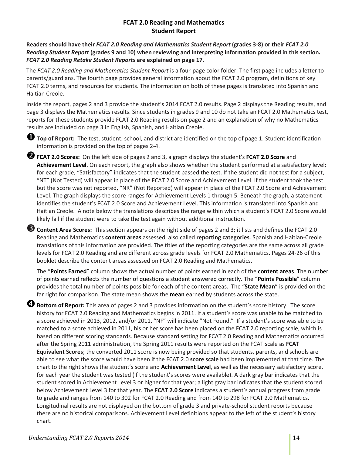## **FCAT 2.0 Reading and Mathematics Student Report**

<span id="page-13-0"></span>**Readers should have their** *FCAT 2.0 Reading and Mathematics Student Report* **(grades 3-8) or their** *FCAT 2.0 Reading Student Report* **(grades 9 and 10) when reviewing and interpreting information provided in this section.**  *FCAT 2.0 Reading Retake Student Reports* **are explained on page 17.**

The *FCAT 2.0 Reading and Mathematics Student Report* is a four-page color folder. The first page includes a letter to parents/guardians. The fourth page provides general information about the FCAT 2.0 program, definitions of key FCAT 2.0 terms, and resources for students. The information on both of these pages is translated into Spanish and Haitian Creole.

Inside the report, pages 2 and 3 provide the student's 2014 FCAT 2.0 results. Page 2 displays the Reading results, and page 3 displays the Mathematics results. Since students in grades 9 and 10 do not take an FCAT 2.0 Mathematics test, reports for these students provide FCAT 2.0 Reading results on page 2 and an explanation of why no Mathematics results are included on page 3 in English, Spanish, and Haitian Creole.

**Top of Report:** The test, student, school, and district are identified on the top of page 1. Student identification information is provided on the top of pages 2-4.

**FCAT 2.0 Scores:** On the left side of pages 2 and 3, a graph displays the student's **FCAT 2.0 Score** and **Achievement Level**. On each report, the graph also shows whether the student performed at a satisfactory level; for each grade, "Satisfactory" indicates that the student passed the test. If the student did not test for a subject, "NT" (Not Tested) will appear in place of the FCAT 2.0 Score and Achievement Level. If the student took the test but the score was not reported, "NR" (Not Reported) will appear in place of the FCAT 2.0 Score and Achievement Level. The graph displays the score ranges for Achievement Levels 1 through 5. Beneath the graph, a statement identifies the student's FCAT 2.0 Score and Achievement Level. This information is translated into Spanish and Haitian Creole. A note below the translations describes the range within which a student's FCAT 2.0 Score would likely fall if the student were to take the test again without additional instruction.

**Content Area Scores:** This section appears on the right side of pages 2 and 3; it lists and defines the FCAT 2.0 Reading and Mathematics **content areas** assessed, also called **reporting categories**. Spanish and Haitian-Creole translations of this information are provided. The titles of the reporting categories are the same across all grade levels for FCAT 2.0 Reading and are different across grade levels for FCAT 2.0 Mathematics. Pages 24-26 of this booklet describe the content areas assessed on FCAT 2.0 Reading and Mathematics.

The "**Points Earned**" column shows the actual number of points earned in each of the **content areas**. The number of points earned reflects the number of questions a student answered correctly. The "**Points Possible**" column provides the total number of points possible for each of the content areas. The "**State Mean**" is provided on the far right for comparison. The state mean shows the **mean** earned by students across the state.

**Bottom of Report:** This area of pages 2 and 3 provides information on the student's score history. The score history for FCAT 2.0 Reading and Mathematics begins in 2011. If a student's score was unable to be matched to a score achieved in 2013, 2012, and/or 2011, "NF" will indicate "Not Found." If a student's score was able to be matched to a score achieved in 2011, his or her score has been placed on the FCAT 2.0 reporting scale, which is based on different scoring standards. Because standard setting for FCAT 2.0 Reading and Mathematics occurred after the Spring 2011 administration, the Spring 2011 results were reported on the FCAT scale as **FCAT Equivalent Scores**; the converted 2011 score is now being provided so that students, parents, and schools are able to see what the score would have been if the FCAT 2.0 **score scale** had been implemented at that time. The chart to the right shows the student's score and **Achievement Level**, as well as the necessary satisfactory score, for each year the student was tested (if the student's scores were available). A dark gray bar indicates that the student scored in Achievement Level 3 or higher for that year; a light gray bar indicates that the student scored below Achievement Level 3 for that year. The **FCAT 2.0 Score** indicates a student's annual progress from grade to grade and ranges from 140 to 302 for FCAT 2.0 Reading and from 140 to 298 for FCAT 2.0 Mathematics. Longitudinal results are not displayed on the bottom of grade 3 and private-school student reports because there are no historical comparisons. Achievement Level definitions appear to the left of the student's history chart.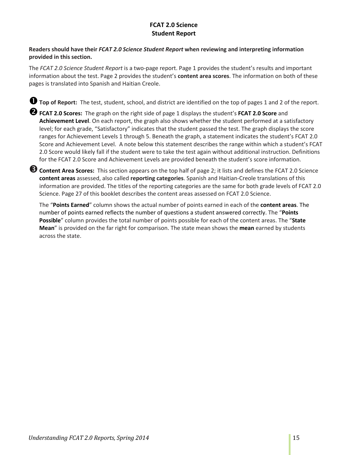## **FCAT 2.0 Science Student Report**

## <span id="page-14-0"></span>**Readers should have their** *FCAT 2.0 Science Student Report* **when reviewing and interpreting information provided in this section.**

The *FCAT 2.0 Science Student Report* is a two-page report. Page 1 provides the student's results and important information about the test. Page 2 provides the student's **content area scores**. The information on both of these pages is translated into Spanish and Haitian Creole.

**Top of Report:** The test, student, school, and district are identified on the top of pages <sup>1</sup> and 2 of the report.

**FCAT 2.0 Scores:** The graph on the right side of page 1 displays the student's **FCAT 2.0 Score** and **Achievement Level**. On each report, the graph also shows whether the student performed at a satisfactory level; for each grade, "Satisfactory" indicates that the student passed the test. The graph displays the score ranges for Achievement Levels 1 through 5. Beneath the graph, a statement indicates the student's FCAT 2.0 Score and Achievement Level. A note below this statement describes the range within which a student's FCAT 2.0 Score would likely fall if the student were to take the test again without additional instruction. Definitions for the FCAT 2.0 Score and Achievement Levels are provided beneath the student's score information.

**Content Area Scores:** This section appears on the top half of page 2; it lists and defines the FCAT 2.0 Science **content areas** assessed, also called **reporting categories**. Spanish and Haitian-Creole translations of this information are provided. The titles of the reporting categories are the same for both grade levels of FCAT 2.0 Science. Page 27 of this booklet describes the content areas assessed on FCAT 2.0 Science.

The "**Points Earned**" column shows the actual number of points earned in each of the **content areas**. The number of points earned reflects the number of questions a student answered correctly. The "**Points Possible**" column provides the total number of points possible for each of the content areas. The "**State Mean**" is provided on the far right for comparison. The state mean shows the **mean** earned by students across the state.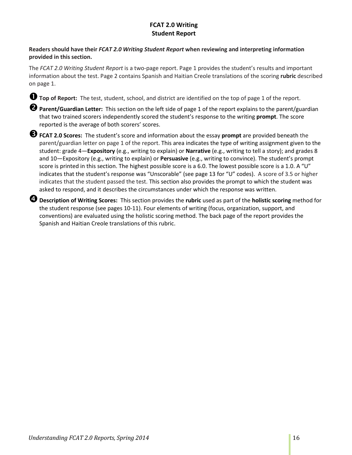## **FCAT 2.0 Writing Student Report**

## <span id="page-15-0"></span>**Readers should have their** *FCAT 2.0 Writing Student Report* **when reviewing and interpreting information provided in this section.**

The *FCAT 2.0 Writing Student Report* is a two-page report. Page 1 provides the student's results and important information about the test. Page 2 contains Spanish and Haitian Creole translations of the scoring **rubric** described on page 1.

**Top of Report:** The test, student, school, and district are identified on the top of page 1 of the report.

**Parent/Guardian Letter:** This section on the left side of page 1 of the report explains to the parent/guardian that two trained scorers independently scored the student's response to the writing **prompt**. The score reported is the average of both scorers' scores.

**FCAT 2.0 Scores:** The student's score and information about the essay **prompt** are provided beneath the parent/guardian letter on page 1 of the report. This area indicates the type of writing assignment given to the student: grade 4—**Expository** (e.g., writing to explain) or **Narrative** (e.g., writing to tell a story); and grades 8 and 10—Expository (e.g., writing to explain) or **Persuasive** (e.g., writing to convince). The student's prompt score is printed in this section. The highest possible score is a 6.0. The lowest possible score is a 1.0. A "U" indicates that the student's response was "Unscorable" (see page 13 for "U" codes). A score of 3.5 or higher indicates that the student passed the test. This section also provides the prompt to which the student was asked to respond, and it describes the circumstances under which the response was written.

**Description of Writing Scores:** This section provides the **rubric** used as part of the **holistic scoring** method for the student response (see pages 10-11). Four elements of writing (focus, organization, support, and conventions) are evaluated using the holistic scoring method. The back page of the report provides the Spanish and Haitian Creole translations of this rubric.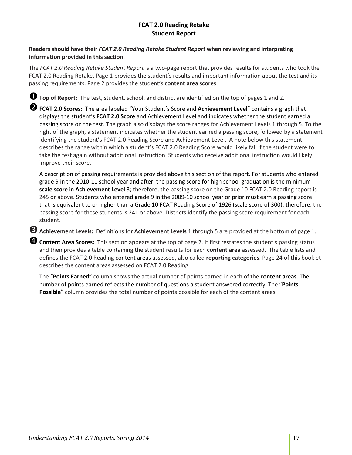## **FCAT 2.0 Reading Retake Student Report**

## <span id="page-16-0"></span>**Readers should have their** *FCAT 2.0 Reading Retake Student Report* **when reviewing and interpreting information provided in this section.**

The *FCAT 2.0 Reading Retake Student Report* is a two-page report that provides results for students who took the FCAT 2.0 Reading Retake. Page 1 provides the student's results and important information about the test and its passing requirements. Page 2 provides the student's **content area scores**.

**Top of Report:** The test, student, school, and district are identified on the top of pages <sup>1</sup> and 2.

**FCAT 2.0 Scores:** The area labeled "Your Student's Score and **Achievement Level**" contains a graph that displays the student's **FCAT 2.0 Score** and Achievement Level and indicates whether the student earned a passing score on the test. The graph also displays the score ranges for Achievement Levels 1 through 5. To the right of the graph, a statement indicates whether the student earned a passing score, followed by a statement identifying the student's FCAT 2.0 Reading Score and Achievement Level. A note below this statement describes the range within which a student's FCAT 2.0 Reading Score would likely fall if the student were to take the test again without additional instruction. Students who receive additional instruction would likely improve their score.

A description of passing requirements is provided above this section of the report. For students who entered grade 9 in the 2010-11 school year and after, the passing score for high school graduation is the minimum **scale score** in **Achievement Level** 3; therefore, the passing score on the Grade 10 FCAT 2.0 Reading report is 245 or above. Students who entered grade 9 in the 2009-10 school year or prior must earn a passing score that is equivalent to or higher than a Grade 10 FCAT Reading Score of 1926 (scale score of 300); therefore, the passing score for these students is 241 or above. Districts identify the passing score requirement for each student.

**Achievement Levels:** Definitions for **Achievement Levels** 1 through 5 are provided at the bottom of page 1.

**Content Area Scores:** This section appears at the top of page 2. It first restates the student's passing status and then provides a table containing the student results for each **content area** assessed. The table lists and defines the FCAT 2.0 Reading content areas assessed, also called **reporting categories**. Page 24 of this booklet describes the content areas assessed on FCAT 2.0 Reading.

The "**Points Earned**" column shows the actual number of points earned in each of the **content areas**. The number of points earned reflects the number of questions a student answered correctly. The "**Points Possible**" column provides the total number of points possible for each of the content areas.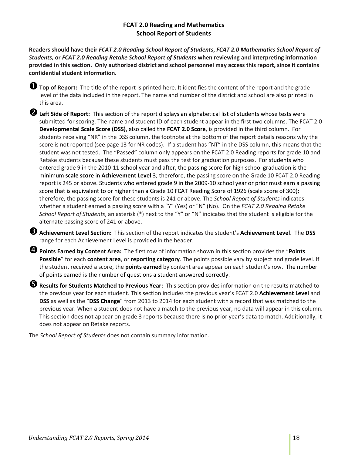## **FCAT 2.0 Reading and Mathematics School Report of Students**

<span id="page-17-0"></span>**Readers should have their** *FCAT 2.0 Reading School Report of Students***,** *FCAT 2.0 Mathematics School Report of Students***, or** *FCAT 2.0 Reading Retake School Report of Students* **when reviewing and interpreting information provided in this section. Only authorized district and school personnel may access this report, since it contains confidential student information.**

**Top of Report:** The title of the report is printed here. It identifies the content of the report and the grade level of the data included in the report. The name and number of the district and school are also printed in this area.

**Left Side of Report:** This section of the report displays an alphabetical list of students whose tests were submitted for scoring. The name and student ID of each student appear in the first two columns. The FCAT 2.0 **Developmental Scale Score (DSS)**, also called the **FCAT 2.0 Score**, is provided in the third column. For students receiving "NR" in the DSS column, the footnote at the bottom of the report details reasons why the score is not reported (see page 13 for NR codes). If a student has "NT" in the DSS column, this means that the student was not tested. The "Passed" column only appears on the FCAT 2.0 Reading reports for grade 10 and Retake students because these students must pass the test for graduation purposes. For students who entered grade 9 in the 2010-11 school year and after, the passing score for high school graduation is the minimum **scale score** in **Achievement Level** 3; therefore, the passing score on the Grade 10 FCAT 2.0 Reading report is 245 or above. Students who entered grade 9 in the 2009-10 school year or prior must earn a passing score that is equivalent to or higher than a Grade 10 FCAT Reading Score of 1926 (scale score of 300); therefore, the passing score for these students is 241 or above. The *School Report of Students* indicates whether a student earned a passing score with a "Y" (Yes) or "N" (No). On the *FCAT 2.0 Reading Retake School Report of Students*, an asterisk (\*) next to the "Y" or "N" indicates that the student is eligible for the alternate passing score of 241 or above.

**Achievement Level Section:** This section of the report indicates the student's **Achievement Level**. The **DSS**  range for each Achievement Level is provided in the header.

**Points Earned by Content Area:** The first row of information shown in this section provides the "**Points Possible**" for each **content area**, or **reporting category**. The points possible vary by subject and grade level. If the student received a score, the **points earned** by content area appear on each student's row. The number of points earned is the number of questions a student answered correctly.

**Results for Students Matched to Previous Year:** This section provides information on the results matched to the previous year for each student. This section includes the previous year's FCAT 2.0 **Achievement Level** and **DSS** as well as the "**DSS Change**" from 2013 to 2014 for each student with a record that was matched to the previous year. When a student does not have a match to the previous year, no data will appear in this column. This section does not appear on grade 3 reports because there is no prior year's data to match. Additionally, it does not appear on Retake reports.

The *School Report of Students* does not contain summary information.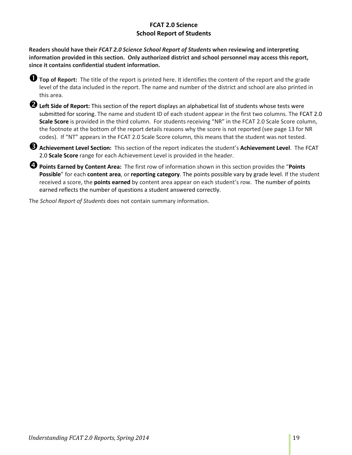## **FCAT 2.0 Science School Report of Students**

<span id="page-18-0"></span>**Readers should have their** *FCAT 2.0 Science School Report of Students* **when reviewing and interpreting information provided in this section. Only authorized district and school personnel may access this report, since it contains confidential student information.**

**Top of Report:** The title of the report is printed here. It identifies the content of the report and the grade level of the data included in the report. The name and number of the district and school are also printed in this area.

**2** Left Side of Report: This section of the report displays an alphabetical list of students whose tests were submitted for scoring. The name and student ID of each student appear in the first two columns. The FCAT 2.0 **Scale Score** is provided in the third column. For students receiving "NR" in the FCAT 2.0 Scale Score column, the footnote at the bottom of the report details reasons why the score is not reported (see page 13 for NR codes). If "NT" appears in the FCAT 2.0 Scale Score column, this means that the student was not tested.

**Achievement Level Section:** This section of the report indicates the student's **Achievement Level**. The FCAT 2.0 **Scale Score** range for each Achievement Level is provided in the header.

**Points Earned by Content Area:** The first row of information shown in this section provides the "**Points Possible**" for each **content area**, or **reporting category**. The points possible vary by grade level. If the student received a score, the **points earned** by content area appear on each student's row. The number of points earned reflects the number of questions a student answered correctly.

The *School Report of Students* does not contain summary information.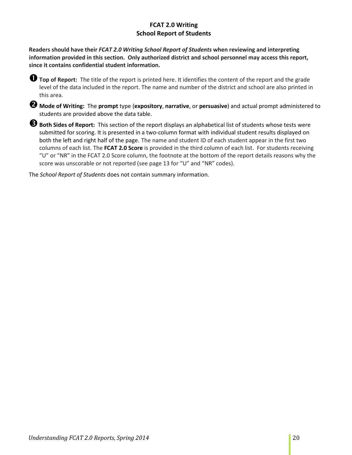## **FCAT 2.0 Writing School Report of Students**

<span id="page-19-0"></span>**Readers should have their** *FCAT 2.0 Writing School Report of Students* **when reviewing and interpreting information provided in this section. Only authorized district and school personnel may access this report, since it contains confidential student information.**

**Top of Report:** The title of the report is printed here. It identifies the content of the report and the grade level of the data included in the report. The name and number of the district and school are also printed in this area.

**Mode of Writing:** The **prompt** type (**expository**, **narrative**, or **persuasive**) and actual prompt administered to students are provided above the data table.

**Both Sides of Report:** This section of the report displays an alphabetical list of students whose tests were submitted for scoring. It is presented in a two-column format with individual student results displayed on both the left and right half of the page. The name and student ID of each student appear in the first two columns of each list. The **FCAT 2.0 Score** is provided in the third column of each list. For students receiving "U" or "NR" in the FCAT 2.0 Score column, the footnote at the bottom of the report details reasons why the score was unscorable or not reported (see page 13 for "U" and "NR" codes).

The *School Report of Students* does not contain summary information.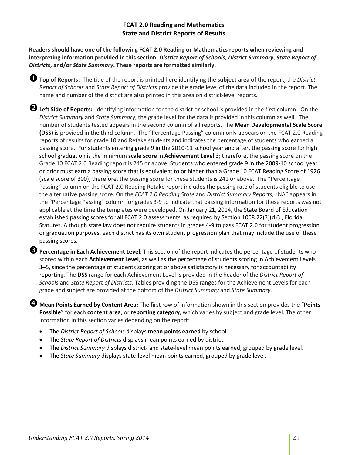## **FCAT 2.0 Reading and Mathematics State and District Reports of Results**

<span id="page-20-0"></span>**Readers should have one of the following FCAT 2.0 Reading or Mathematics reports when reviewing and interpreting information provided in this section:** *District Report of Schools***,** *District Summary***,** *State Report of Districts***, and/or** *State Summary***. These reports are formatted similarly.** 

**Top of Reports:** The title of the report is printed here identifying the **subject area** of the report; the *District Report of Schools* and *State Report of Districts* provide the grade level of the data included in the report. The name and number of the district are also printed in this area on district-level reports.

**Left Side of Reports:** Identifying information for the district or school is provided in the first column. On the *District Summary* and *State Summary*, the grade level for the data is provided in this column as well. The number of students tested appears in the second column of all reports. The **Mean Developmental Scale Score (DSS)** is provided in the third column. The "Percentage Passing" column only appears on the FCAT 2.0 Reading reports of results for grade 10 and Retake students and indicates the percentage of students who earned a passing score. For students entering grade 9 in the 2010-11 school year and after, the passing score for high school graduation is the minimum **scale score** in **Achievement Level** 3; therefore, the passing score on the Grade 10 FCAT 2.0 Reading report is 245 or above. Students who entered grade 9 in the 2009-10 school year or prior must earn a passing score that is equivalent to or higher than a Grade 10 FCAT Reading Score of 1926 (scale score of 300); therefore, the passing score for these students is 241 or above. The "Percentage Passing" column on the FCAT 2.0 Reading Retake report includes the passing rate of students eligible to use the alternative passing score. On the *FCAT 2.0 Reading State* and *District Summary Reports*, "NA" appears in the "Percentage Passing" column for grades 3-9 to indicate that passing information for these reports was not applicable at the time the templates were developed. On January 21, 2014, the State Board of Education established passing scores for all FCAT 2.0 assessments, as required by Section 1008.22(3)(d)3., Florida Statutes. Although state law does not require students in grades 4-9 to pass FCAT 2.0 for student progression or graduation purposes, each district has its own student progression plan that may include the use of these passing scores.

**Percentage in Each Achievement Level:** This section of the report indicates the percentage of students who scored within each **Achievement Level**, as well as the percentage of students scoring in Achievement Levels 3–5, since the percentage of students scoring at or above satisfactory is necessary for accountability reporting. The **DSS** range for each Achievement Level is provided in the header of the *District Report of Schools* and *State Report of Districts*. Tables providing the DSS ranges for the Achievement Levels for each grade and subject are provided at the bottom of the *District Summary* and *State Summary*.

**Mean Points Earned by Content Area:** The first row of information shown in this section provides the "**Points Possible**" for each **content area**, or **reporting category**, which varies by subject and grade level. The other information in this section varies depending on the report:

- The *District Report of Schools* displays **mean points earned** by school.
- The *State Report of Districts* displays mean points earned by district.
- The *District Summary* displays district- and state-level mean points earned, grouped by grade level.
- The *State Summary* displays state-level mean points earned, grouped by grade level.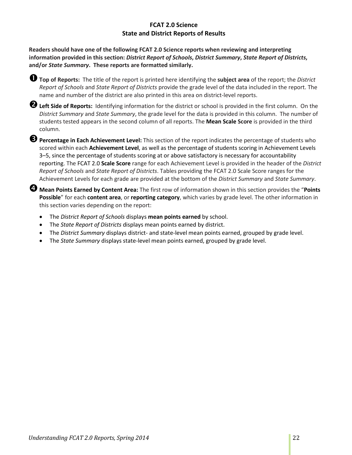## **FCAT 2.0 Science State and District Reports of Results**

<span id="page-21-0"></span>**Readers should have one of the following FCAT 2.0 Science reports when reviewing and interpreting information provided in this section:** *District Report of Schools***,** *District Summary***,** *State Report of Districts***, and/or** *State Summary***. These reports are formatted similarly.** 



**Left Side of Reports:** Identifying information for the district or school is provided in the first column. On the *District Summary* and *State Summary*, the grade level for the data is provided in this column. The number of students tested appears in the second column of all reports. The **Mean Scale Score** is provided in the third column.

**Percentage in Each Achievement Level:** This section of the report indicates the percentage of students who scored within each **Achievement Level**, as well as the percentage of students scoring in Achievement Levels 3–5, since the percentage of students scoring at or above satisfactory is necessary for accountability reporting. The FCAT 2.0 **Scale Score** range for each Achievement Level is provided in the header of the *District Report of Schools* and *State Report of Districts*. Tables providing the FCAT 2.0 Scale Score ranges for the Achievement Levels for each grade are provided at the bottom of the *District Summary* and *State Summary*.

**Mean Points Earned by Content Area:** The first row of information shown in this section provides the "**Points Possible**" for each **content area**, or **reporting category**, which varies by grade level. The other information in this section varies depending on the report:

- The *District Report of Schools* displays **mean points earned** by school.
- The *State Report of Districts* displays mean points earned by district.
- The *District Summary* displays district- and state-level mean points earned, grouped by grade level.
- The *State Summary* displays state-level mean points earned, grouped by grade level.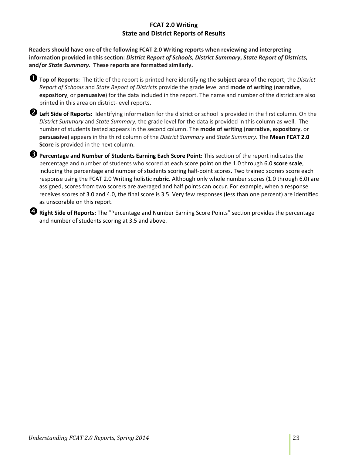## **FCAT 2.0 Writing State and District Reports of Results**

<span id="page-22-0"></span>**Readers should have one of the following FCAT 2.0 Writing reports when reviewing and interpreting information provided in this section:** *District Report of Schools***,** *District Summary***,** *State Report of Districts***, and/or** *State Summary***. These reports are formatted similarly.** 



**Left Side of Reports:** Identifying information for the district or school is provided in the first column. On the *District Summary* and *State Summary*, the grade level for the data is provided in this column as well. The number of students tested appears in the second column. The **mode of writing** (**narrative**, **expository**, or **persuasive**) appears in the third column of the *District Summary* and *State Summary*. The **Mean FCAT 2.0 Score** is provided in the next column.

**Percentage and Number of Students Earning Each Score Point:** This section of the report indicates the percentage and number of students who scored at each score point on the 1.0 through 6.0 **score scale**, including the percentage and number of students scoring half-point scores. Two trained scorers score each response using the FCAT 2.0 Writing holistic **rubric**. Although only whole number scores (1.0 through 6.0) are assigned, scores from two scorers are averaged and half points can occur. For example, when a response receives scores of 3.0 and 4.0, the final score is 3.5. Very few responses (less than one percent) are identified as unscorable on this report.

**Right Side of Reports:** The "Percentage and Number Earning Score Points" section provides the percentage and number of students scoring at 3.5 and above.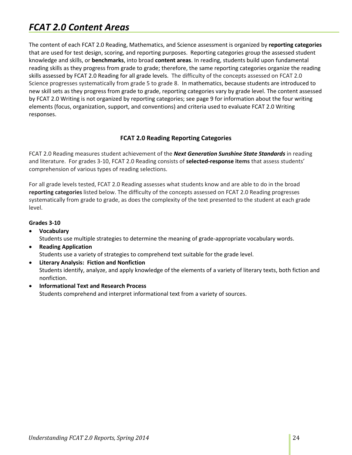## <span id="page-23-0"></span>*FCAT 2.0 Content Areas*

The content of each FCAT 2.0 Reading, Mathematics, and Science assessment is organized by **reporting categories** that are used for test design, scoring, and reporting purposes. Reporting categories group the assessed student knowledge and skills, or **benchmarks**, into broad **content areas**. In reading, students build upon fundamental reading skills as they progress from grade to grade; therefore, the same reporting categories organize the reading skills assessed by FCAT 2.0 Reading for all grade levels. The difficulty of the concepts assessed on FCAT 2.0 Science progresses systematically from grade 5 to grade 8. In mathematics, because students are introduced to new skill sets as they progress from grade to grade, reporting categories vary by grade level. The content assessed by FCAT 2.0 Writing is not organized by reporting categories; see page 9 for information about the four writing elements (focus, organization, support, and conventions) and criteria used to evaluate FCAT 2.0 Writing responses.

## **FCAT 2.0 Reading Reporting Categories**

<span id="page-23-1"></span>FCAT 2.0 Reading measures student achievement of the *Next Generation Sunshine State Standards* in reading and literature. For grades 3-10, FCAT 2.0 Reading consists of **selected-response items** that assess students' comprehension of various types of reading selections.

For all grade levels tested, FCAT 2.0 Reading assesses what students know and are able to do in the broad **reporting categories** listed below. The difficulty of the concepts assessed on FCAT 2.0 Reading progresses systematically from grade to grade, as does the complexity of the text presented to the student at each grade level.

## **Grades 3-10**

- **Vocabulary** Students use multiple strategies to determine the meaning of grade-appropriate vocabulary words.
- **Reading Application** Students use a variety of strategies to comprehend text suitable for the grade level.
- **Literary Analysis: Fiction and Nonfiction** Students identify, analyze, and apply knowledge of the elements of a variety of literary texts, both fiction and nonfiction.
- **Informational Text and Research Process** Students comprehend and interpret informational text from a variety of sources.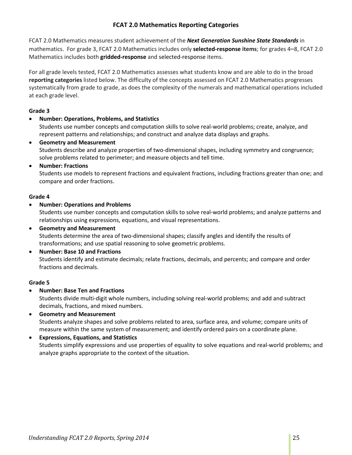## **FCAT 2.0 Mathematics Reporting Categories**

<span id="page-24-0"></span>FCAT 2.0 Mathematics measures student achievement of the *Next Generation Sunshine State Standards* in mathematics. For grade 3, FCAT 2.0 Mathematics includes only **selected-response items**; for grades 4–8, FCAT 2.0 Mathematics includes both **gridded-response** and selected-response items.

For all grade levels tested, FCAT 2.0 Mathematics assesses what students know and are able to do in the broad **reporting categories** listed below. The difficulty of the concepts assessed on FCAT 2.0 Mathematics progresses systematically from grade to grade, as does the complexity of the numerals and mathematical operations included at each grade level.

## **Grade 3**

## • **Number: Operations, Problems, and Statistics**

Students use number concepts and computation skills to solve real-world problems; create, analyze, and represent patterns and relationships; and construct and analyze data displays and graphs.

• **Geometry and Measurement** Students describe and analyze properties of two-dimensional shapes, including symmetry and congruence; solve problems related to perimeter; and measure objects and tell time.

## • **Number: Fractions**

Students use models to represent fractions and equivalent fractions, including fractions greater than one; and compare and order fractions.

## **Grade 4**

• **Number: Operations and Problems**

Students use number concepts and computation skills to solve real-world problems; and analyze patterns and relationships using expressions, equations, and visual representations.

- **Geometry and Measurement** Students determine the area of two-dimensional shapes; classify angles and identify the results of transformations; and use spatial reasoning to solve geometric problems.
- **Number: Base 10 and Fractions** Students identify and estimate decimals; relate fractions, decimals, and percents; and compare and order fractions and decimals.

## **Grade 5**

• **Number: Base Ten and Fractions**

Students divide multi-digit whole numbers, including solving real-world problems; and add and subtract decimals, fractions, and mixed numbers.

- **Geometry and Measurement** Students analyze shapes and solve problems related to area, surface area, and volume; compare units of measure within the same system of measurement; and identify ordered pairs on a coordinate plane.
- **Expressions, Equations, and Statistics** Students simplify expressions and use properties of equality to solve equations and real-world problems; and analyze graphs appropriate to the context of the situation.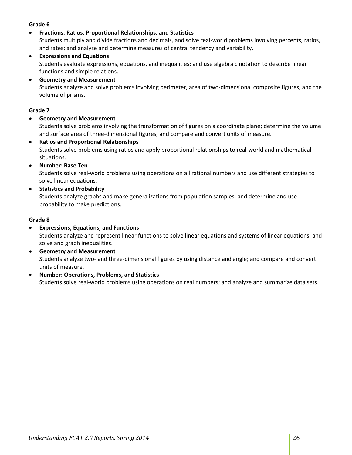## **Grade 6**

• **Fractions, Ratios, Proportional Relationships, and Statistics**

Students multiply and divide fractions and decimals, and solve real-world problems involving percents, ratios, and rates; and analyze and determine measures of central tendency and variability.

- **Expressions and Equations** Students evaluate expressions, equations, and inequalities; and use algebraic notation to describe linear functions and simple relations.
- **Geometry and Measurement** Students analyze and solve problems involving perimeter, area of two-dimensional composite figures, and the volume of prisms.

#### **Grade 7**

## • **Geometry and Measurement**

Students solve problems involving the transformation of figures on a coordinate plane; determine the volume and surface area of three-dimensional figures; and compare and convert units of measure.

- **Ratios and Proportional Relationships** Students solve problems using ratios and apply proportional relationships to real-world and mathematical situations.
- **Number: Base Ten**

Students solve real-world problems using operations on all rational numbers and use different strategies to solve linear equations.

• **Statistics and Probability**

Students analyze graphs and make generalizations from population samples; and determine and use probability to make predictions.

#### **Grade 8**

- **Expressions, Equations, and Functions** Students analyze and represent linear functions to solve linear equations and systems of linear equations; and solve and graph inequalities.
- **Geometry and Measurement** Students analyze two- and three-dimensional figures by using distance and angle; and compare and convert units of measure.
- **Number: Operations, Problems, and Statistics** Students solve real-world problems using operations on real numbers; and analyze and summarize data sets.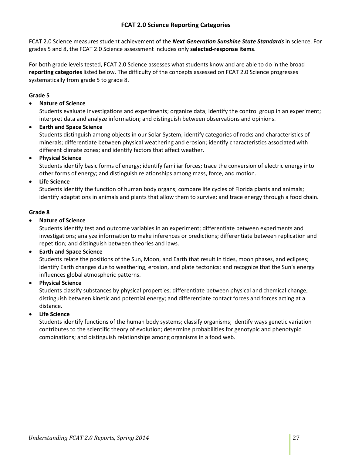## **FCAT 2.0 Science Reporting Categories**

<span id="page-26-0"></span>FCAT 2.0 Science measures student achievement of the *Next Generation Sunshine State Standards* in science. For grades 5 and 8, the FCAT 2.0 Science assessment includes only **selected-response items**.

For both grade levels tested, FCAT 2.0 Science assesses what students know and are able to do in the broad **reporting categories** listed below. The difficulty of the concepts assessed on FCAT 2.0 Science progresses systematically from grade 5 to grade 8.

## **Grade 5**

## • **Nature of Science**

Students evaluate investigations and experiments; organize data; identify the control group in an experiment; interpret data and analyze information; and distinguish between observations and opinions.

• **Earth and Space Science**

Students distinguish among objects in our Solar System; identify categories of rocks and characteristics of minerals; differentiate between physical weathering and erosion; identify characteristics associated with different climate zones; and identify factors that affect weather.

#### • **Physical Science**

Students identify basic forms of energy; identify familiar forces; trace the conversion of electric energy into other forms of energy; and distinguish relationships among mass, force, and motion.

## • **Life Science**

Students identify the function of human body organs; compare life cycles of Florida plants and animals; identify adaptations in animals and plants that allow them to survive; and trace energy through a food chain.

#### **Grade 8**

#### • **Nature of Science**

Students identify test and outcome variables in an experiment; differentiate between experiments and investigations; analyze information to make inferences or predictions; differentiate between replication and repetition; and distinguish between theories and laws.

## • **Earth and Space Science**

Students relate the positions of the Sun, Moon, and Earth that result in tides, moon phases, and eclipses; identify Earth changes due to weathering, erosion, and plate tectonics; and recognize that the Sun's energy influences global atmospheric patterns.

#### • **Physical Science**

Students classify substances by physical properties; differentiate between physical and chemical change; distinguish between kinetic and potential energy; and differentiate contact forces and forces acting at a distance.

## • **Life Science**

Students identify functions of the human body systems; classify organisms; identify ways genetic variation contributes to the scientific theory of evolution; determine probabilities for genotypic and phenotypic combinations; and distinguish relationships among organisms in a food web.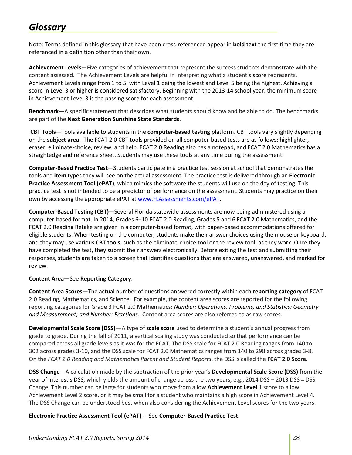## <span id="page-27-0"></span>*Glossary*

Note: Terms defined in this glossary that have been cross-referenced appear in **bold text** the first time they are referenced in a definition other than their own.

**Achievement Levels**—Five categories of achievement that represent the success students demonstrate with the content assessed. The Achievement Levels are helpful in interpreting what a student's score represents. Achievement Levels range from 1 to 5, with Level 1 being the lowest and Level 5 being the highest. Achieving a score in Level 3 or higher is considered satisfactory. Beginning with the 2013-14 school year, the minimum score in Achievement Level 3 is the passing score for each assessment.

**Benchmark**—A specific statement that describes what students should know and be able to do. The benchmarks are part of the **Next Generation Sunshine State Standards**.

**CBT Tools**—Tools available to students in the **computer-based testing** platform. CBT tools vary slightly depending on the **subject area**. The FCAT 2.0 CBT tools provided on all computer-based tests are as follows: highlighter, eraser, eliminate-choice, review, and help. FCAT 2.0 Reading also has a notepad, and FCAT 2.0 Mathematics has a straightedge and reference sheet. Students may use these tools at any time during the assessment.

**Computer-Based Practice Test**—Students participate in a practice test session at school that demonstrates the tools and **item** types they will see on the actual assessment. The practice test is delivered through an **Electronic Practice Assessment Tool (ePAT)**, which mimics the software the students will use on the day of testing. This practice test is not intended to be a predictor of performance on the assessment. Students may practice on their own by accessing the appropriate ePAT at [www.FLAssessments.com/ePAT.](http://www.flassessments.com/ePAT)

**Computer-Based Testing (CBT)**—Several Florida statewide assessments are now being administered using a computer-based format. In 2014, Grades 6–10 FCAT 2.0 Reading, Grades 5 and 6 FCAT 2.0 Mathematics, and the FCAT 2.0 Reading Retake are given in a computer-based format, with paper-based accommodations offered for eligible students. When testing on the computer, students make their answer choices using the mouse or keyboard, and they may use various **CBT tools**, such as the eliminate-choice tool or the review tool, as they work. Once they have completed the test, they submit their answers electronically. Before exiting the test and submitting their responses, students are taken to a screen that identifies questions that are answered, unanswered, and marked for review.

## **Content Area**—See **Reporting Category**.

**Content Area Scores**—The actual number of questions answered correctly within each **reporting category** of FCAT 2.0 Reading, Mathematics, and Science. For example, the content area scores are reported for the following reporting categories for Grade 3 FCAT 2.0 Mathematics: *Number: Operations, Problems, and Statistics; Geometry and Measurement; and Number: Fractions*. Content area scores are also referred to as raw scores.

**Developmental Scale Score (DSS)**—A type of **scale score** used to determine a student's annual progress from grade to grade. During the fall of 2011, a vertical scaling study was conducted so that performance can be compared across all grade levels as it was for the FCAT. The DSS scale for FCAT 2.0 Reading ranges from 140 to 302 across grades 3-10, and the DSS scale for FCAT 2.0 Mathematics ranges from 140 to 298 across grades 3-8. On the *FCAT 2.0 Reading and Mathematics Parent and Student Reports*, the DSS is called the **FCAT 2.0 Score**.

**DSS Change**—A calculation made by the subtraction of the prior year's **Developmental Scale Score (DSS)** from the year of interest's DSS, which yields the amount of change across the two years, e.g., 2014 DSS – 2013 DSS = DSS Change. This number can be large for students who move from a low **Achievement Level** 1 score to a low Achievement Level 2 score, or it may be small for a student who maintains a high score in Achievement Level 4. The DSS Change can be understood best when also considering the Achievement Level scores for the two years.

**Electronic Practice Assessment Tool (ePAT)** —See **Computer-Based Practice Test**.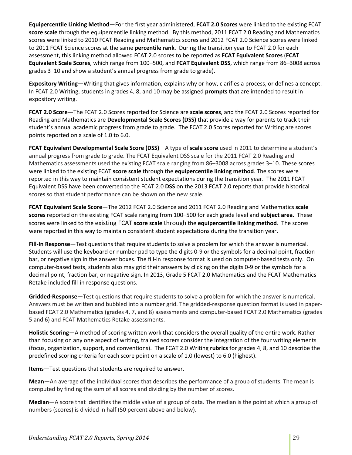**Equipercentile Linking Method**—For the first year administered, **FCAT 2.0 Scores** were linked to the existing FCAT **score scale** through the equipercentile linking method. By this method, 2011 FCAT 2.0 Reading and Mathematics scores were linked to 2010 FCAT Reading and Mathematics scores and 2012 FCAT 2.0 Science scores were linked to 2011 FCAT Science scores at the same **percentile rank**. During the transition year to FCAT 2.0 for each assessment, this linking method allowed FCAT 2.0 scores to be reported as **FCAT Equivalent Scores** (**FCAT Equivalent Scale Scores**, which range from 100–500, and **FCAT Equivalent DSS**, which range from 86–3008 across grades 3–10 and show a student's annual progress from grade to grade).

**Expository Writing**—Writing that gives information, explains why or how, clarifies a process, or defines a concept. In FCAT 2.0 Writing, students in grades 4, 8, and 10 may be assigned **prompts** that are intended to result in expository writing.

**FCAT 2.0 Score**—The FCAT 2.0 Scores reported for Science are **scale scores**, and the FCAT 2.0 Scores reported for Reading and Mathematics are **Developmental Scale Scores (DSS)** that provide a way for parents to track their student's annual academic progress from grade to grade. The FCAT 2.0 Scores reported for Writing are scores points reported on a scale of 1.0 to 6.0.

**FCAT Equivalent Developmental Scale Score (DSS)**—A type of **scale score** used in 2011 to determine a student's annual progress from grade to grade. The FCAT Equivalent DSS scale for the 2011 FCAT 2.0 Reading and Mathematics assessments used the existing FCAT scale ranging from 86–3008 across grades 3–10. These scores were linked to the existing FCAT **score scale** through the **equipercentile linking method**. The scores were reported in this way to maintain consistent student expectations during the transition year. The 2011 FCAT Equivalent DSS have been converted to the FCAT 2.0 **DSS** on the 2013 FCAT 2.0 reports that provide historical scores so that student performance can be shown on the new scale.

**FCAT Equivalent Scale Score**—The 2012 FCAT 2.0 Science and 2011 FCAT 2.0 Reading and Mathematics **scale scores** reported on the existing FCAT scale ranging from 100–500 for each grade level and **subject area**. These scores were linked to the existing FCAT **score scale** through the **equipercentile linking method**. The scores were reported in this way to maintain consistent student expectations during the transition year.

**Fill-In Response**—Test questions that require students to solve a problem for which the answer is numerical. Students will use the keyboard or number pad to type the digits 0-9 or the symbols for a decimal point, fraction bar, or negative sign in the answer boxes. The fill-in response format is used on computer-based tests only. On computer-based tests, students also may grid their answers by clicking on the digits 0-9 or the symbols for a decimal point, fraction bar, or negative sign. In 2013, Grade 5 FCAT 2.0 Mathematics and the FCAT Mathematics Retake included fill-in response questions.

**Gridded-Response**—Test questions that require students to solve a problem for which the answer is numerical. Answers must be written and bubbled into a number grid. The gridded-response question format is used in paperbased FCAT 2.0 Mathematics (grades 4, 7, and 8) assessments and computer-based FCAT 2.0 Mathematics (grades 5 and 6) and FCAT Mathematics Retake assessments.

**Holistic Scoring**—A method of scoring written work that considers the overall quality of the entire work. Rather than focusing on any one aspect of writing, trained scorers consider the integration of the four writing elements (focus, organization, support, and conventions). The FCAT 2.0 Writing **rubrics** for grades 4, 8, and 10 describe the predefined scoring criteria for each score point on a scale of 1.0 (lowest) to 6.0 (highest).

**Items**—Test questions that students are required to answer.

**Mean**—An average of the individual scores that describes the performance of a group of students. The mean is computed by finding the sum of all scores and dividing by the number of scores.

**Median**—A score that identifies the middle value of a group of data. The median is the point at which a group of numbers (scores) is divided in half (50 percent above and below).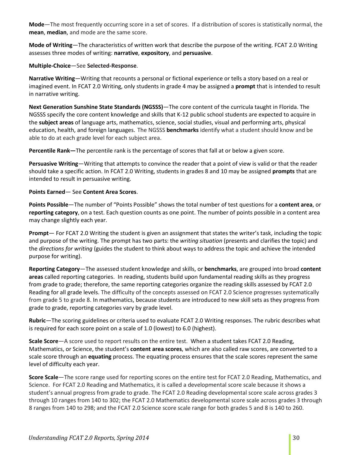**Mode**—The most frequently occurring score in a set of scores. If a distribution of scores is statistically normal, the **mean**, **median**, and mode are the same score.

**Mode of Writing**—The characteristics of written work that describe the purpose of the writing. FCAT 2.0 Writing assesses three modes of writing: **narrative**, **expository**, and **persuasive**.

**Multiple-Choice**—See **Selected-Response**.

**Narrative Writing**—Writing that recounts a personal or fictional experience or tells a story based on a real or imagined event. In FCAT 2.0 Writing, only students in grade 4 may be assigned a **prompt** that is intended to result in narrative writing.

**Next Generation Sunshine State Standards (NGSSS)**—The core content of the curricula taught in Florida. The NGSSS specify the core content knowledge and skills that K-12 public school students are expected to acquire in the **subject areas** of language arts, mathematics, science, social studies, visual and performing arts, physical education, health, and foreign languages. The NGSSS **benchmarks** identify what a student should know and be able to do at each grade level for each subject area.

**Percentile Rank—**The percentile rank is the percentage of scores that fall at or below a given score.

**Persuasive Writing**—Writing that attempts to convince the reader that a point of view is valid or that the reader should take a specific action. In FCAT 2.0 Writing, students in grades 8 and 10 may be assigned **prompts** that are intended to result in persuasive writing.

**Points Earned**— See **Content Area Scores**.

**Points Possible**—The number of "Points Possible" shows the total number of test questions for a **content area**, or **reporting category**, on a test. Each question counts as one point. The number of points possible in a content area may change slightly each year.

**Prompt**— For FCAT 2.0 Writing the student is given an assignment that states the writer's task, including the topic and purpose of the writing. The prompt has two parts: the *writing situation* (presents and clarifies the topic) and the *directions for writing* (guides the student to think about ways to address the topic and achieve the intended purpose for writing).

**Reporting Category**—The assessed student knowledge and skills, or **benchmarks**, are grouped into broad **content areas** called reporting categories. In reading, students build upon fundamental reading skills as they progress from grade to grade; therefore, the same reporting categories organize the reading skills assessed by FCAT 2.0 Reading for all grade levels. The difficulty of the concepts assessed on FCAT 2.0 Science progresses systematically from grade 5 to grade 8. In mathematics, because students are introduced to new skill sets as they progress from grade to grade, reporting categories vary by grade level.

**Rubric**—The scoring guidelines or criteria used to evaluate FCAT 2.0 Writing responses. The rubric describes what is required for each score point on a scale of 1.0 (lowest) to 6.0 (highest).

**Scale Score**—A score used to report results on the entire test. When a student takes FCAT 2.0 Reading, Mathematics, or Science, the student's **content area scores**, which are also called raw scores, are converted to a scale score through an **equating** process. The equating process ensures that the scale scores represent the same level of difficulty each year.

**Score Scale**—The score range used for reporting scores on the entire test for FCAT 2.0 Reading, Mathematics, and Science. For FCAT 2.0 Reading and Mathematics, it is called a developmental score scale because it shows a student's annual progress from grade to grade. The FCAT 2.0 Reading developmental score scale across grades 3 through 10 ranges from 140 to 302; the FCAT 2.0 Mathematics developmental score scale across grades 3 through 8 ranges from 140 to 298; and the FCAT 2.0 Science score scale range for both grades 5 and 8 is 140 to 260.